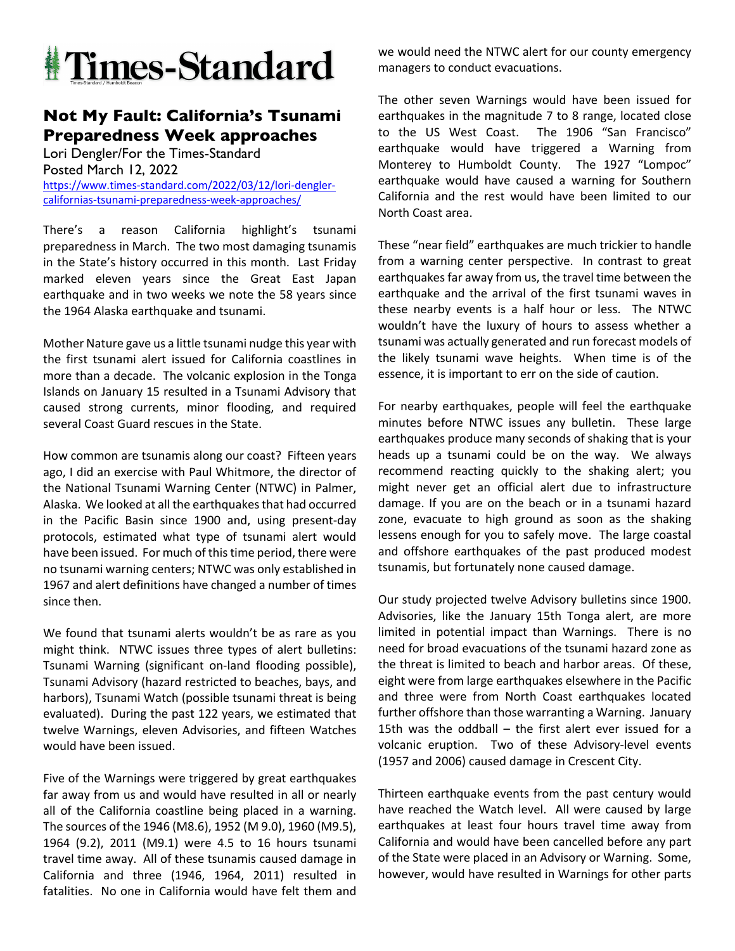

## **Not My Fault: California's Tsunami Preparedness Week approaches**

Lori Dengler/For the Times-Standard Posted March 12, 2022 https://www.times-standard.com/2022/03/12/lori-denglercalifornias-tsunami-preparedness-week-approaches/

There's a reason California highlight's tsunami preparedness in March. The two most damaging tsunamis in the State's history occurred in this month. Last Friday marked eleven years since the Great East Japan earthquake and in two weeks we note the 58 years since the 1964 Alaska earthquake and tsunami.

Mother Nature gave us a little tsunami nudge this year with the first tsunami alert issued for California coastlines in more than a decade. The volcanic explosion in the Tonga Islands on January 15 resulted in a Tsunami Advisory that caused strong currents, minor flooding, and required several Coast Guard rescues in the State.

How common are tsunamis along our coast? Fifteen years ago, I did an exercise with Paul Whitmore, the director of the National Tsunami Warning Center (NTWC) in Palmer, Alaska. We looked at all the earthquakes that had occurred in the Pacific Basin since 1900 and, using present-day protocols, estimated what type of tsunami alert would have been issued. For much of this time period, there were no tsunami warning centers; NTWC was only established in 1967 and alert definitions have changed a number of times since then.

We found that tsunami alerts wouldn't be as rare as you might think. NTWC issues three types of alert bulletins: Tsunami Warning (significant on-land flooding possible), Tsunami Advisory (hazard restricted to beaches, bays, and harbors), Tsunami Watch (possible tsunami threat is being evaluated). During the past 122 years, we estimated that twelve Warnings, eleven Advisories, and fifteen Watches would have been issued.

Five of the Warnings were triggered by great earthquakes far away from us and would have resulted in all or nearly all of the California coastline being placed in a warning. The sources of the 1946 (M8.6), 1952 (M 9.0), 1960 (M9.5), 1964 (9.2), 2011 (M9.1) were 4.5 to 16 hours tsunami travel time away. All of these tsunamis caused damage in California and three (1946, 1964, 2011) resulted in fatalities. No one in California would have felt them and

we would need the NTWC alert for our county emergency managers to conduct evacuations.

The other seven Warnings would have been issued for earthquakes in the magnitude 7 to 8 range, located close to the US West Coast. The 1906 "San Francisco" earthquake would have triggered a Warning from Monterey to Humboldt County. The 1927 "Lompoc" earthquake would have caused a warning for Southern California and the rest would have been limited to our North Coast area.

These "near field" earthquakes are much trickier to handle from a warning center perspective. In contrast to great earthquakes far away from us, the travel time between the earthquake and the arrival of the first tsunami waves in these nearby events is a half hour or less. The NTWC wouldn't have the luxury of hours to assess whether a tsunami was actually generated and run forecast models of the likely tsunami wave heights. When time is of the essence, it is important to err on the side of caution.

For nearby earthquakes, people will feel the earthquake minutes before NTWC issues any bulletin. These large earthquakes produce many seconds of shaking that is your heads up a tsunami could be on the way. We always recommend reacting quickly to the shaking alert; you might never get an official alert due to infrastructure damage. If you are on the beach or in a tsunami hazard zone, evacuate to high ground as soon as the shaking lessens enough for you to safely move. The large coastal and offshore earthquakes of the past produced modest tsunamis, but fortunately none caused damage.

Our study projected twelve Advisory bulletins since 1900. Advisories, like the January 15th Tonga alert, are more limited in potential impact than Warnings. There is no need for broad evacuations of the tsunami hazard zone as the threat is limited to beach and harbor areas. Of these, eight were from large earthquakes elsewhere in the Pacific and three were from North Coast earthquakes located further offshore than those warranting a Warning. January 15th was the oddball – the first alert ever issued for a volcanic eruption. Two of these Advisory-level events (1957 and 2006) caused damage in Crescent City.

Thirteen earthquake events from the past century would have reached the Watch level. All were caused by large earthquakes at least four hours travel time away from California and would have been cancelled before any part of the State were placed in an Advisory or Warning. Some, however, would have resulted in Warnings for other parts